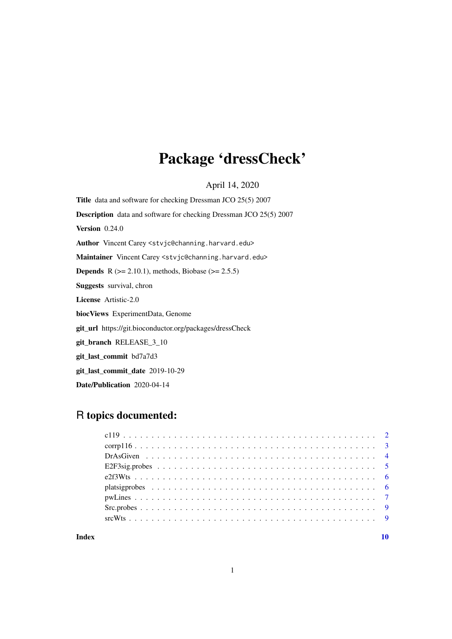# Package 'dressCheck'

April 14, 2020

Title data and software for checking Dressman JCO 25(5) 2007 Description data and software for checking Dressman JCO 25(5) 2007 **Version** 0.24.0 Author Vincent Carey <stvjc@channing.harvard.edu> Maintainer Vincent Carey <stvjc@channing.harvard.edu> **Depends** R ( $>= 2.10.1$ ), methods, Biobase ( $>= 2.5.5$ ) Suggests survival, chron License Artistic-2.0 biocViews ExperimentData, Genome git\_url https://git.bioconductor.org/packages/dressCheck git\_branch RELEASE\_3\_10 git\_last\_commit bd7a7d3 git\_last\_commit\_date 2019-10-29

### Date/Publication 2020-04-14

## R topics documented:

#### $\blacksquare$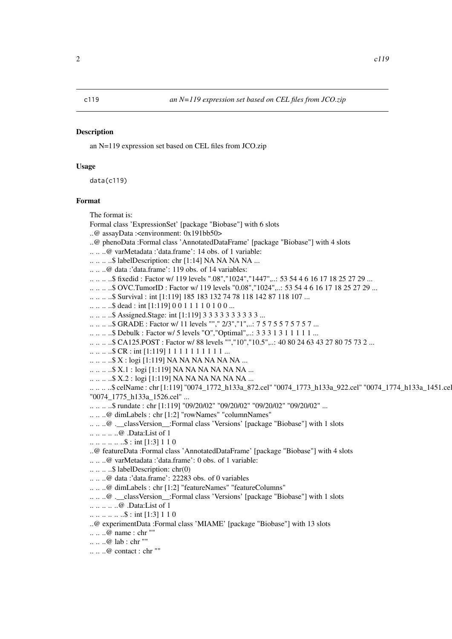#### <span id="page-1-0"></span>Description

an N=119 expression set based on CEL files from JCO.zip

#### Usage

data(c119)

#### Format

The format is:

Formal class 'ExpressionSet' [package "Biobase"] with 6 slots

..@ assayData :<environment: 0x191bb50>

..@ phenoData :Formal class 'AnnotatedDataFrame' [package "Biobase"] with 4 slots

.. .. ..@ varMetadata :'data.frame': 14 obs. of 1 variable:

.. .. .. ..\$ labelDescription: chr [1:14] NA NA NA NA ...

.. .. ..@ data :'data.frame': 119 obs. of 14 variables:

.. .. .. ..\$ fixedid : Factor w/ 119 levels ".08","1024","1447",..: 53 54 4 6 16 17 18 25 27 29 ...

.. .. .. ..\$ OVC.TumorID : Factor w/ 119 levels "0.08","1024",..: 53 54 4 6 16 17 18 25 27 29 ...

.. .. .. ..\$ Survival : int [1:119] 185 183 132 74 78 118 142 87 118 107 ...

.. .. ... \$ dead : int [1:119] 0 0 1 1 1 1 0 1 0 0 ...

.. .. .. ..\$ Assigned.Stage: int [1:119] 3 3 3 3 3 3 3 3 3 3 ...

.. .. .. ..\$ GRADE : Factor w/ 11 levels ""," 2/3","1",..: 7 5 7 5 5 7 5 7 5 7 ...

.. .. .. ..\$ Debulk : Factor w/ 5 levels "O","Optimal",..: 3 3 3 1 3 1 1 1 1 1 ...

.. .. .. ..\$ CA125.POST : Factor w/ 88 levels "","10","10.5",..: 40 80 24 63 43 27 80 75 73 2 ...

.. .. .. ..\$ CR : int [1:119] 1 1 1 1 1 1 1 1 1 1 ...

.. .. .. ..\$ X : logi [1:119] NA NA NA NA NA NA ...

.. .. .. ..\$ X.1 : logi [1:119] NA NA NA NA NA NA ...

.. .. .. ..\$ X.2 : logi [1:119] NA NA NA NA NA NA ...

.. .. .. ..\$ celName : chr [1:119] "0074\_1772\_h133a\_872.cel" "0074\_1773\_h133a\_922.cel" "0074\_1774\_h133a\_1451.cel" "0074\_1775\_h133a\_1526.cel" ...

.. .. .. ..\$ rundate : chr [1:119] "09/20/02" "09/20/02" "09/20/02" "09/20/02" ...

.. .. ..@ dimLabels : chr [1:2] "rowNames" "columnNames"

.. .. ..@ .\_\_classVersion\_\_:Formal class 'Versions' [package "Biobase"] with 1 slots

.. .. .. .. ..@ .Data:List of 1

.. .. .. .. .. ..\$ : int [1:3] 1 1 0

..@ featureData :Formal class 'AnnotatedDataFrame' [package "Biobase"] with 4 slots

.. .. ..@ varMetadata :'data.frame': 0 obs. of 1 variable:

.. .. .. ..\$ labelDescription: chr(0)

.. .. ..@ data :'data.frame': 22283 obs. of 0 variables

.. .. ..@ dimLabels : chr [1:2] "featureNames" "featureColumns"

... .. @ . classVersion :Formal class 'Versions' [package "Biobase"] with 1 slots

.. .. .. .. ..@ .Data:List of 1

 $\ldots \ldots \ldots \ldots \ldots \ldots \ldots$ \$ : int [1:3] 1 1 0

..@ experimentData :Formal class 'MIAME' [package "Biobase"] with 13 slots

.. .. ..@ name : chr ""

.. .. ..@ lab : chr ""

.. .. ..@ contact : chr ""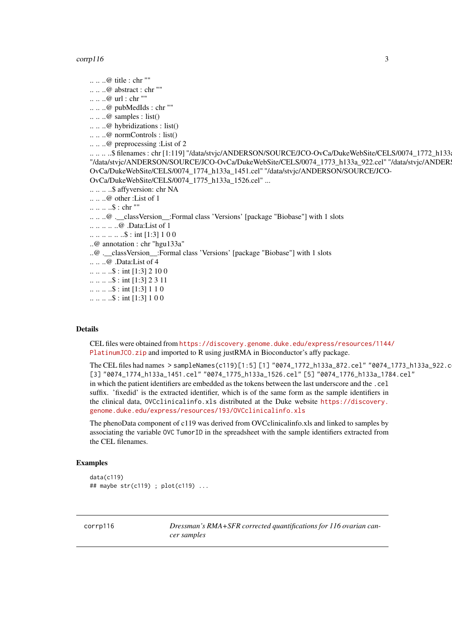#### <span id="page-2-0"></span> $corrpl16$  3

.. .. ..@ title : chr ""  $\ldots \ldots \ldots$  abstract : chr "" .. .. ..@ url : chr "" .. .. ..@ pubMedIds : chr ""  $\ldots \ldots \omega$  samples : list() .. .. ..@ hybridizations : list() .. .. ..@ normControls : list() .. .. ..@ preprocessing :List of 2 .. .. .. ..\$ filenames : chr [1:119] "/data/stvjc/ANDERSON/SOURCE/JCO-OvCa/DukeWebSite/CELS/0074\_1772\_h133 "/data/stvjc/ANDERSON/SOURCE/JCO-OvCa/DukeWebSite/CELS/0074\_1773\_h133a\_922.cel" "/data/stvjc/ANDERSON/SOURCE/JCO-OvCa/DukeWebSite/CELS/0074\_1774\_h133a\_1451.cel" "/data/stvjc/ANDERSON/SOURCE/JCO-OvCa/DukeWebSite/CELS/0074\_1775\_h133a\_1526.cel" ... .. .. .. ..\$ affyversion: chr NA .. .. ..@ other :List of 1 .. .. .. ..\$ : chr "" .. .. ..@ .\_\_classVersion\_\_:Formal class 'Versions' [package "Biobase"] with 1 slots .. .. .. .. ..@ .Data:List of 1 .. .. .. .. .. ..\$ : int [1:3] 1 0 0 ..@ annotation : chr "hgu133a" ..@ .\_\_classVersion\_\_:Formal class 'Versions' [package "Biobase"] with 1 slots .. .. ..@ .Data:List of 4  $\ldots \ldots \ldots \ldots \ldots$ \$ : int [1:3] 2 10 0  $\ldots \ldots \ldots \ldots \ldots \ldots$  : int [1:3] 2 3 11  $\ldots \ldots \ldots \quad$  : int [1:3] 1 1 0  $\ldots \ldots \ldots \ldots \ldots$  : int [1:3] 1 0 0

#### Details

CEL files were obtained from [https://discovery.genome.duke.edu/express/resources/1144](https://discovery.genome.duke.edu/express/resources/1144/PlatinumJCO.zip)/ [PlatinumJCO.zip](https://discovery.genome.duke.edu/express/resources/1144/PlatinumJCO.zip) and imported to R using justRMA in Bioconductor's affy package.

The CEL files had names > sampleNames(c119)[1:5] [1] "0074\_1772\_h133a\_872.cel" "0074\_1773\_h133a\_922.cel" [3] "0074\_1774\_h133a\_1451.cel" "0074\_1775\_h133a\_1526.cel" [5] "0074\_1776\_h133a\_1784.cel" in which the patient identifiers are embedded as the tokens between the last underscore and the .cel suffix. 'fixedid' is the extracted identifier, which is of the same form as the sample identifiers in the clinical data, OVCclinicalinfo.xls distributed at the Duke website [https://discovery.](https://discovery.genome.duke.edu/express/resources/193/OVCclinicalinfo.xls) [genome.duke.edu/express/resources/193/OVCclinicalinfo.xls](https://discovery.genome.duke.edu/express/resources/193/OVCclinicalinfo.xls)

The phenoData component of c119 was derived from OVCclinicalinfo.xls and linked to samples by associating the variable OVC TumorID in the spreadsheet with the sample identifiers extracted from the CEL filenames.

#### Examples

data(c119) ## maybe str(c119) ; plot(c119) ...

corrp116 *Dressman's RMA+SFR corrected quantifications for 116 ovarian cancer samples*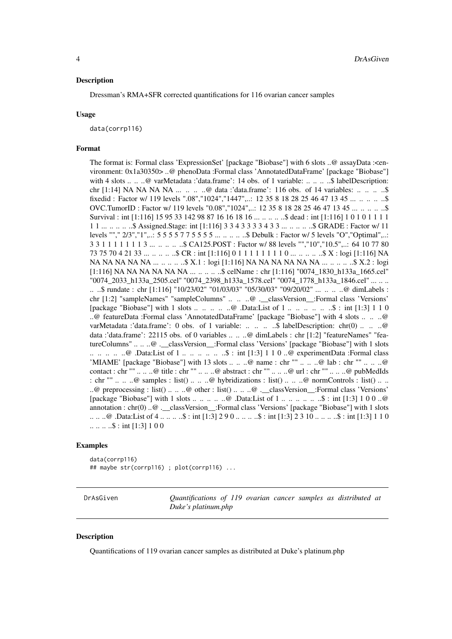#### <span id="page-3-0"></span>Description

Dressman's RMA+SFR corrected quantifications for 116 ovarian cancer samples

#### Usage

data(corrp116)

#### Format

The format is: Formal class 'ExpressionSet' [package "Biobase"] with 6 slots ..@ assayData :<environment: 0x1a30350> ..@ phenoData :Formal class 'AnnotatedDataFrame' [package "Biobase"] with 4 slots .. .. ..@ varMetadata :'data.frame': 14 obs. of 1 variable: .. .. .. ..\$ labelDescription: chr [1:14] NA NA NA NA  $\dots$   $\dots$   $\ldots$   $\omega$  data :'data.frame': 116 obs. of 14 variables:  $\dots$   $\dots$   $\ldots$   $\ldots$ fixedid : Factor w/ 119 levels ".08","1024","1447",..: 12 35 8 18 28 25 46 47 13 45 ... .. .. ... ..\$ OVC.TumorID : Factor w/ 119 levels "0.08","1024",..: 12 35 8 18 28 25 46 47 13 45 ... .. .. .. ..\$ Survival : int [1:116] 15 95 33 142 98 87 16 16 18 16 ... .. ... ...\$ dead : int [1:116] 1 0 1 0 1 1 1 1 1 1 ... .. .. .. ..\$ Assigned.Stage: int [1:116] 3 3 4 3 3 3 3 4 3 3 ... .. .. .. ..\$ GRADE : Factor w/ 11 levels ""," 2/3","1",..: 5 5 5 5 7 7 5 5 5 5 ... .. .. .. ..\$ Debulk : Factor w/ 5 levels "O","Optimal",..: 3 3 1 1 1 1 1 1 1 3 ... .. .. .. ..\$ CA125.POST : Factor w/ 88 levels "","10","10.5",..: 64 10 77 80 73 75 70 4 21 33 ... .. .. .. ..\$ CR : int [1:116] 0 1 1 1 1 1 1 1 1 0 ... .. .. .. ..\$ X : logi [1:116] NA NA NA NA NA NA ... .. .. .. ..\$ X.1 : logi [1:116] NA NA NA NA NA NA ... .. .. .. ..\$ X.2 : logi [1:116] NA NA NA NA NA NA ... .. ... ... \$ celName : chr [1:116] "0074 1830 h133a 1665.cel" "0074\_2033\_h133a\_2505.cel" "0074\_2398\_h133a\_1578.cel" "0074\_1778\_h133a\_1846.cel" ... .. .. .. ..\$ rundate : chr [1:116] "10/23/02" "01/03/03" "05/30/03" "09/20/02" ... .. .. ..@ dimLabels : chr [1:2] "sampleNames" "sampleColumns" .. .. ..@ .\_\_classVersion\_\_:Formal class 'Versions' [package "Biobase"] with 1 slots .. .. .. .. ..@ .Data:List of 1 .. .. .. .. .. ..\$ : int [1:3] 1 1 0 ..@ featureData :Formal class 'AnnotatedDataFrame' [package "Biobase"] with 4 slots .. .. ..@ varMetadata :'data.frame': 0 obs. of 1 variable: .. .. .. .\$ labelDescription: chr(0) .. .. ..@ data :'data.frame': 22115 obs. of 0 variables .. .. ..@ dimLabels : chr [1:2] "featureNames" "featureColumns" .. .. ..@ .\_\_classVersion\_\_:Formal class 'Versions' [package "Biobase"] with 1 slots .. .. .. .. ..@ .Data:List of 1 .. .. .. .. .. ..\$ : int [1:3] 1 1 0 ..@ experimentData :Formal class 'MIAME' [package "Biobase"] with 13 slots .. .. ..@ name : chr "" .. .. ..@ lab : chr "" .. .. ..@ contact : chr "" .. ...@ title : chr "" .. ....@ abstract : chr "" .. ....@ url : chr "" .. ....@ pubMedIds : chr "" .. .. ..@ samples : list() .. .. ..@ hybridizations : list() .. .. ..@ normControls : list() .. .. ..@ preprocessing : list() .. .. ..@ other : list() .. .. ..@ .\_\_classVersion\_:Formal class 'Versions' [package "Biobase"] with 1 slots .. .. .. .. ..@ .Data:List of 1 .. .. .. .. .. ..\$ : int [1:3] 1 0 0 ..@ annotation : chr(0) ..@ .\_\_classVersion\_\_:Formal class 'Versions' [package "Biobase"] with 1 slots .. .. ..@ .Data:List of 4 .. .. .. ..\$ : int [1:3] 2 9 0 .. .. .. ..\$ : int [1:3] 2 3 10 .. .. .. ..\$ : int [1:3] 1 1 0  $\ldots \ldots \ldots \ldots \ldots$ \$ : int [1:3] 1 0 0

#### Examples

data(corrp116) ## maybe str(corrp116) ; plot(corrp116) ...

DrAsGiven *Quantifications of 119 ovarian cancer samples as distributed at Duke's platinum.php*

#### Description

Quantifications of 119 ovarian cancer samples as distributed at Duke's platinum.php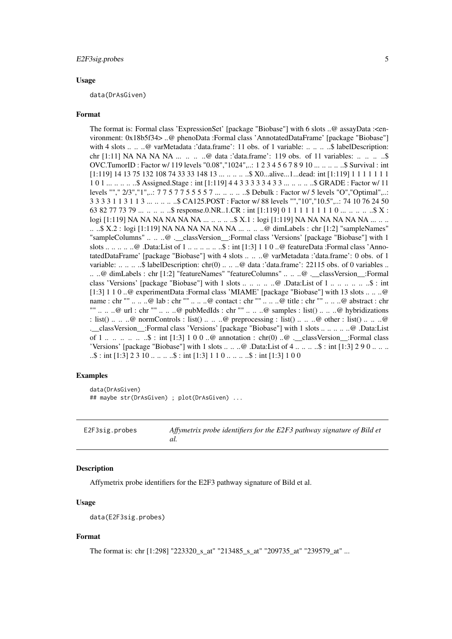#### <span id="page-4-0"></span>E2F3sig.probes 5

#### Usage

data(DrAsGiven)

#### Format

The format is: Formal class 'ExpressionSet' [package "Biobase"] with 6 slots ..@ assayData :<environment: 0x18b5f34> ..@ phenoData :Formal class 'AnnotatedDataFrame' [package "Biobase"] with 4 slots .. .. ..@ varMetadata :'data.frame': 11 obs. of 1 variable: .. .. .. ..\$ labelDescription: chr [1:11] NA NA NA NA ... .. .. ..@ data :'data.frame': 119 obs. of 11 variables: .. .. ... ...\$ OVC.TumorID : Factor w/ 119 levels "0.08","1024",..: 1 2 3 4 5 6 7 8 9 10 ... .. .. .. ..\$ Survival : int  $[1:119]$  14 13 75 132 108 74 33 33 148 13 ... ... ... ... \$ X0...alive...1...dead: int [1:119] 1 1 1 1 1 1 1 1 0 1 ... .. .. .. ..\$ Assigned.Stage : int [1:119] 4 4 3 3 3 3 3 4 3 3 ... .. .. .. ..\$ GRADE : Factor w/ 11 levels ""," 2/3","1",..: 7 7 5 7 7 5 5 5 5 7 ... .. .. .. ..\$ Debulk : Factor w/ 5 levels "O","Optimal",..: 3 3 3 3 1 1 3 1 1 3 ... .. .. .. ..\$ CA125.POST : Factor w/ 88 levels "","10","10.5",..: 74 10 76 24 50 63 82 77 73 79 ... .. .. .. \$ response.0.NR..1.CR : int [1:119] 0 1 1 1 1 1 1 1 0 ... .. .. .. .. \$ X : logi [1:119] NA NA NA NA NA NA ... .. .. ... ... \$ X.1 : logi [1:119] NA NA NA NA NA NA ... .. .. .. ..\$ X.2 : logi [1:119] NA NA NA NA NA NA  $\overline{M}$  ... .. .. .. ..@ dimLabels : chr [1:2] "sampleNames" "sampleColumns" .. .. ..@ .\_\_classVersion\_\_:Formal class 'Versions' [package "Biobase"] with 1 slots .. .. .. .. .. @ .Data:List of  $1 \ldots \ldots \ldots$  ... ...  $\hat{s}$  : int [1:3] 1 1 0 .. @ featureData :Formal class 'AnnotatedDataFrame' [package "Biobase"] with 4 slots .. .. ..@ varMetadata :'data.frame': 0 obs. of 1 variable: .. .. .. ..\$ labelDescription: chr(0) .. .. ..@ data :'data.frame': 22115 obs. of 0 variables .. .. ..@ dimLabels : chr [1:2] "featureNames" "featureColumns" .. .. ..@ .\_\_classVersion\_\_:Formal class 'Versions' [package "Biobase"] with 1 slots  $\dots \dots \dots \dots \dots$  . @ .Data:List of 1  $\dots \dots \dots \dots \dots \dots$ [1:3] 1 1 0 ..@ experimentData :Formal class 'MIAME' [package "Biobase"] with 13 slots .. .. ..@ name : chr "" .. .. ..@ lab : chr "" .. .. ..@ contact : chr "" .. .. ..@ title : chr "" .. .. ..@ abstract : chr "" .. .. ..@ url : chr "" .. .. ..@ pubMedIds : chr "" .. .. ..@ samples : list() .. .. ..@ hybridizations : list() .. .. ..@ normControls : list() .. .. ..@ preprocessing : list() .. .. ..@ other : list() .. .. ..@ .\_\_classVersion\_\_:Formal class 'Versions' [package "Biobase"] with 1 slots .. .. .. .. ..@ .Data:List of 1 .. .. .. .. .. \$ : int [1:3] 1 0 0 ..@ annotation : chr(0) ..@ .\_\_classVersion\_\_:Formal class 'Versions' [package "Biobase"] with 1 slots  $\dots \dots \omega$ . Data:List of  $4 \dots \dots \dots \dots$ \$ : int [1:3] 2 9 0  $\dots \dots$  $\ldots$ \$ : int [1:3] 2 3 10 ...  $\ldots$   $\ldots$ \$ : int [1:3] 1 1 0 ...  $\ldots$   $\ldots$ \$ : int [1:3] 1 0 0

#### Examples

data(DrAsGiven) ## maybe str(DrAsGiven) ; plot(DrAsGiven) ...

E2F3sig.probes *Affymetrix probe identifiers for the E2F3 pathway signature of Bild et al.*

#### Description

Affymetrix probe identifiers for the E2F3 pathway signature of Bild et al.

#### Usage

```
data(E2F3sig.probes)
```
#### Format

The format is: chr [1:298] "223320\_s\_at" "213485\_s\_at" "209735\_at" "239579\_at" ...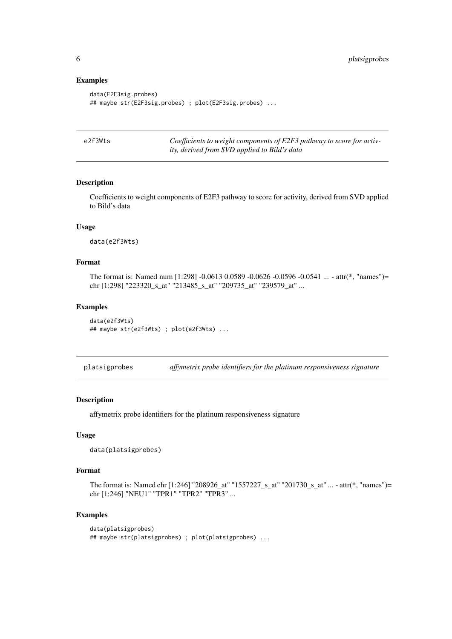#### Examples

```
data(E2F3sig.probes)
## maybe str(E2F3sig.probes) ; plot(E2F3sig.probes) ...
```

| e2f3Wts | Coefficients to weight components of E2F3 pathway to score for activ- |
|---------|-----------------------------------------------------------------------|
|         | ity, derived from SVD applied to Bild's data                          |

#### Description

Coefficients to weight components of E2F3 pathway to score for activity, derived from SVD applied to Bild's data

#### Usage

data(e2f3Wts)

#### Format

The format is: Named num [1:298] -0.0613 0.0589 -0.0626 -0.0596 -0.0541 ... - attr(\*, "names")= chr [1:298] "223320\_s\_at" "213485\_s\_at" "209735\_at" "239579\_at" ...

#### Examples

```
data(e2f3Wts)
## maybe str(e2f3Wts) ; plot(e2f3Wts) ...
```
platsigprobes *affymetrix probe identifiers for the platinum responsiveness signature*

#### Description

affymetrix probe identifiers for the platinum responsiveness signature

#### Usage

```
data(platsigprobes)
```
#### Format

The format is: Named chr [1:246] "208926\_at" "1557227\_s\_at" "201730\_s\_at" ... - attr(\*, "names")= chr [1:246] "NEU1" "TPR1" "TPR2" "TPR3" ...

#### Examples

```
data(platsigprobes)
## maybe str(platsigprobes) ; plot(platsigprobes) ...
```
<span id="page-5-0"></span>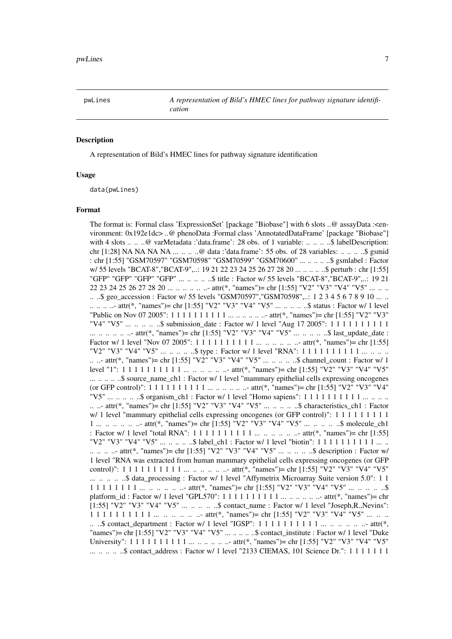<span id="page-6-0"></span>

#### Description

A representation of Bild's HMEC lines for pathway signature identification

#### Usage

data(pwLines)

#### Format

The format is: Formal class 'ExpressionSet' [package "Biobase"] with 6 slots ..@ assayData :<environment: 0x192e1dc> ..@ phenoData :Formal class 'AnnotatedDataFrame' [package "Biobase"] with 4 slots .. .. ..@ varMetadata :'data.frame': 28 obs. of 1 variable: .. .. ... .\$ labelDescription: chr [1:28] NA NA NA NA ... .. .. ..@ data :'data.frame': 55 obs. of 28 variables: .. .. .. ..\$ gsmid : chr [1:55] "GSM70597" "GSM70598" "GSM70599" "GSM70600" ... .. .. .. ..\$ gsmlabel : Factor w/ 55 levels "BCAT-8","BCAT-9",..: 19 21 22 23 24 25 26 27 28 20 ... .. .. .. ..\$ perturb : chr [1:55] "GFP" "GFP" "GFP" "GFP" ... .. .. .. ..\$ title : Factor w/ 55 levels "BCAT-8","BCAT-9",..: 19 21 22 23 24 25 26 27 28 20 ... .. .. .. .. .. attr(\*, "names")= chr [1:55] "V2" "V3" "V4" "V5" ... .. .. .. ..\$ geo\_accession : Factor w/ 55 levels "GSM70597","GSM70598",..: 1 2 3 4 5 6 7 8 9 10 ... .. .. .. .. .. attr(\*, "names")= chr [1:55] "V2" "V3" "V4" "V5" ... .. .. .. ..\$ status : Factor w/ 1 level "Public on Nov 07 2005": 1 1 1 1 1 1 1 1 1 1 ... .. .. .. .. ..- attr(\*, "names")= chr [1:55] "V2" "V3" "V4" "V5" ... .. .. .. \$ submission\_date : Factor w/ 1 level "Aug 17 2005": 1 1 1 1 1 1 1 1 1 1 1 ... .. .. .. .. - attr(\*, "names")= chr [1:55] "V2" "V3" "V4" "V5" ... .. .. .. .\$ last\_update\_date : Factor w/ 1 level "Nov 07 2005": 1 1 1 1 1 1 1 1 1 1 ... .. .. .. .. ..- attr(\*, "names")= chr [1:55] "V2" "V3" "V4" "V5" ... .. .. .. \$ type : Factor w/ 1 level "RNA": 1 1 1 1 1 1 1 1 1 1 ... .. .. .. .. ..- attr(\*, "names")= chr [1:55] "V2" "V3" "V4" "V5" ... .. .. .. ..\$ channel\_count : Factor w/ 1 level "1": 1 1 1 1 1 1 1 1 1 1 ... .. .. .. .. ..- attr(\*, "names")= chr [1:55] "V2" "V3" "V4" "V5" ... ... ... ... \$ source\_name\_ch1 : Factor w/ 1 level "mammary epithelial cells expressing oncogenes (or GFP control)": 1 1 1 1 1 1 1 1 1 1 ... .. .. .. .. ..- attr(\*, "names")= chr [1:55] "V2" "V3" "V4" "V5" ...  $\ldots$   $\ldots$  ... \$ organism\_ch1 : Factor w/ 1 level "Homo sapiens": 1 1 1 1 1 1 1 1 1 1 ...  $\ldots$  ... .. ..- attr(\*, "names")= chr [1:55] "V2" "V3" "V4" "V5" ... .. .. .. ..\$ characteristics\_ch1 : Factor  $w/1$  level "mammary epithelial cells expressing oncogenes (or GFP control)": 1 1 1 1 1 1 1 1 1 1 1 ... .. .. .. ... attr(\*, "names")= chr [1:55] "V2" "V3" "V4" "V5" ... .. .. .. ..\$ molecule\_ch1 : Factor w/ 1 level "total RNA": 1 1 1 1 1 1 1 1 1 1 ... .. .. .. .. ..- attr(\*, "names")= chr [1:55] "V2" "V3" "V4" "V5" ... .. .. .. ..\$ label\_ch1 : Factor w/ 1 level "biotin": 1 1 1 1 1 1 1 1 1 1 ... .. .. .. .. ..- attr(\*, "names")= chr [1:55] "V2" "V3" "V4" "V5" ... .. .. .. ..\$ description : Factor w/ 1 level "RNA was extracted from human mammary epithelial cells expressing oncogenes (or GFP control)":  $1 1 1 1 1 1 1 1 1 ... ... ... ... ...$  ... ... ... attr(\*, "names")= chr [1:55] "V2" "V3" "V4" "V5" ... .. .. .. ..\$ data\_processing : Factor w/ 1 level "Affymetrix Microarray Suite version 5.0": 1 1 1 1 1 1 1 1 1  $\ldots$  ... ... ... attr(\*, "names")= chr [1:55] "V2" "V3" "V4" "V5" ... ... ... ... \$ platform\_id : Factor w/ 1 level "GPL570": 1 1 1 1 1 1 1 1 1 1 ... .. .. .. .. ..- attr(\*, "names")= chr [1:55] "V2" "V3" "V4" "V5" ... .. .. .. .. \$ contact\_name : Factor w/ 1 level "Joseph,R.,Nevins": 1 1 1 1 1 1 1 1 1 1 ... .. .. .. .. attr(\*, "names")= chr [1:55] "V2" "V3" "V4" "V5" ... .. .. .. ..\$ contact\_department : Factor w/ 1 level "IGSP": 1 1 1 1 1 1 1 1 1 1 ... .. .. .. .. ..- attr(\*, "names")= chr [1:55] "V2" "V3" "V4" "V5" ... .. .. .. ..\$ contact\_institute : Factor w/ 1 level "Duke University": 1 1 1 1 1 1 1 1 1 1 ... .. .. .. .. ..- attr(\*, "names")= chr [1:55] "V2" "V3" "V4" "V5" ... .. .. .. ..\$ contact\_address : Factor w/ 1 level "2133 CIEMAS, 101 Science Dr.": 1 1 1 1 1 1 1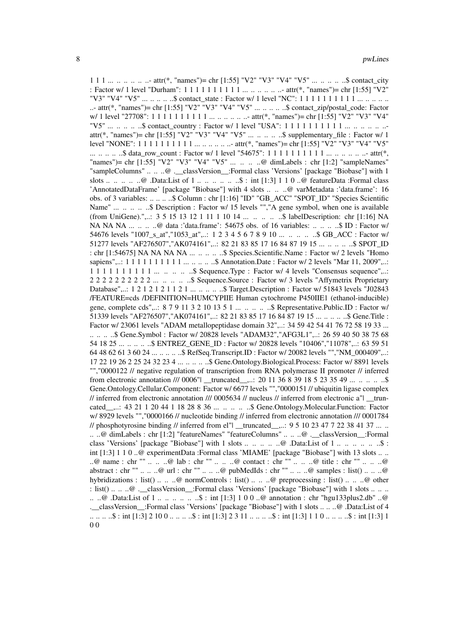1 1 1 ... .. .. ... ... attr(\*, "names")= chr [1:55] "V2" "V3" "V4" "V5" ... .. .. .. .. \$ contact\_city : Factor w/ 1 level "Durham": 1 1 1 1 1 1 1 1 1 1 ... .. .. .. .. ..- attr(\*, "names")= chr [1:55] "V2" "V3" "V4" "V5" ... .. .. .. ..\$ contact\_state : Factor w/ 1 level "NC": 1 1 1 1 1 1 1 1 1 1 1 ... .. .. .. ..- attr(\*, "names")= chr [1:55] "V2" "V3" "V4" "V5" ... .. .. ..\$ contact\_zip/postal\_code: Factor w/ 1 level "27708": 1 1 1 1 1 1 1 1 1 1 ... .. .. .. .. ..- attr(\*, "names")= chr [1:55] "V2" "V3" "V4" "V5" ... .. .. ..\$ contact\_country : Factor w/ 1 level "USA": 1 1 1 1 1 1 1 1 1 1 ... .. .. .. .. .. attr(\*, "names")= chr [1:55] "V2" "V3" "V4" "V5" ... .. .. .. ..\$ supplementary\_file : Factor w/ 1 level "NONE": 1 1 1 1 1 1 1 1 1 1 ... .. .. .. .. ..- attr(\*, "names")= chr [1:55] "V2" "V3" "V4" "V5" ... .. .. .. ..\$ data\_row\_count : Factor w/ 1 level "54675": 1 1 1 1 1 1 1 1 1 1 ... .. .. .. .. ..- attr(\*, "names")= chr [1:55] "V2" "V3" "V4" "V5" ... .. .. ..@ dimLabels : chr [1:2] "sampleNames" "sampleColumns" .. .. ..@ . classVersion :Formal class 'Versions' [package "Biobase"] with 1 slots ... .. .. ..@ .Data:List of 1 ... .. .. ... ..\$ : int [1:3] 1 1 0 ..@ featureData :Formal class 'AnnotatedDataFrame' [package "Biobase"] with 4 slots .. .. ..@ varMetadata :'data.frame': 16 obs. of 3 variables: .. .. .. ..\$ Column : chr [1:16] "ID" "GB\_ACC" "SPOT\_ID" "Species Scientific Name" ... .. .. .. \$ Description : Factor w/ 15 levels "","A gene symbol, when one is available (from UniGene).",..: 3 5 15 13 12 1 11 1 10 14 ... .. .. ... \$ labelDescription: chr [1:16] NA NA NA ... .. ... ..@ data :'data.frame': 54675 obs. of 16 variables: .. .. ... ..\$ ID : Factor w/ 54676 levels "1007\_s\_at","1053\_at",..: 1 2 3 4 5 6 7 8 9 10 ... .. .. ... ... \$ GB\_ACC : Factor w/ 51277 levels "AF276507","AK074161",..: 82 21 83 85 17 16 84 87 19 15 ... .. .. .. ..\$ SPOT\_ID : chr [1:54675] NA NA NA NA ... ... ... ... \$ Species.Scientific.Name : Factor w/ 2 levels "Homo sapiens",..: 1 1 1 1 1 1 1 1 1 1 ... .. .. .. ..\$ Annotation.Date : Factor w/ 2 levels "Mar 11, 2009",..: 1 1 1 1 1 1 1 1 1 1 ... .. .. .. \$ Sequence.Type : Factor w/ 4 levels "Consensus sequence",..: 2 2 2 2 2 2 2 2 2 2 ... .. .. .. .. \$ Sequence.Source : Factor w/ 3 levels "Affymetrix Proprietary Database",..: 1 2 1 2 1 2 1 1 2 1 ... .. ... ... \$ Target.Description : Factor w/ 51843 levels "J02843" /FEATURE=cds /DEFINITION=HUMCYPIIE Human cytochrome P450IIE1 (ethanol-inducible) gene, complete cds",..: 8 7 9 11 3 2 10 13 5 1 ... .. .. .. \$ Representative.Public.ID : Factor w/ 51339 levels "AF276507", "AK074161",..: 82 21 83 85 17 16 84 87 19 15 ... .. .. .. ..\$ Gene.Title : Factor w/ 23061 levels "ADAM metallopeptidase domain 32",..: 34 59 42 54 41 76 72 58 19 33 ... .. .. .. ..\$ Gene.Symbol : Factor w/ 20828 levels "ADAM32","AFG3L1",..: 26 59 40 50 38 75 68 54 18 25 ... .. .. .. ..\$ ENTREZ\_GENE\_ID : Factor w/ 20828 levels "10406","11078",..: 63 59 51 64 48 62 61 3 60 24 ... .. .. .. ..\$ RefSeq.Transcript.ID : Factor w/ 20082 levels "","NM\_000409",..: 17 22 19 26 2 25 24 32 23 4 ... .. .. .. ..\$ Gene.Ontology.Biological.Process: Factor w/ 8891 levels "","0000122 // negative regulation of transcription from RNA polymerase II promoter // inferred from electronic annotation /// 0006"| \_\_truncated\_\_,..: 20 11 36 8 39 18 5 23 35 49 ... .. .. ... ..\$ Gene.Ontology.Cellular.Component: Factor w/ 6677 levels "","0000151 // ubiquitin ligase complex // inferred from electronic annotation /// 0005634 // nucleus // inferred from electronic a"| \_\_truncated\_\_,..: 43 21 1 20 44 1 18 28 8 36 ... .. .. .. ..\$ Gene.Ontology.Molecular.Function: Factor w/ 8929 levels "","0000166 // nucleotide binding // inferred from electronic annotation /// 0001784 // phosphotyrosine binding // inferred from el"| \_\_truncated\_\_,..:  $9\ 5\ 10\ 23\ 47\ 7\ 22\ 38\ 41\ 37\ ...$ .. ..@ dimLabels : chr [1:2] "featureNames" "featureColumns" .. .. ..@ .\_\_classVersion\_\_:Formal class 'Versions' [package "Biobase"] with 1 slots .. .. .. .. ..@ .Data:List of 1 .. .. .. .. .. ..\$ : int [1:3] 1 1 0 ..@ experimentData :Formal class 'MIAME' [package "Biobase"] with 13 slots .. .. ..@ name : chr "" .. .. ..@ lab : chr "" .. .. ..@ contact : chr "" .. .. ..@ title : chr "" .. .. ..@ abstract : chr "" .. .. ..@ url : chr "" .. .. ..@ pubMedIds : chr "" .. .. ..@ samples : list() .. .. ..@ hybridizations : list() .. .. ..@ normControls : list() .. .. ..@ preprocessing : list() .. .. ..@ other : list() ..  $\ldots \ldots \omega$ . class Version : Formal class 'Versions' [package "Biobase"] with 1 slots  $\ldots \ldots$ .. ..@ .Data:List of  $1 \ldots \ldots \ldots \ldots \qquad$ ...\$ : int [1:3] 1 0 0 ..@ annotation : chr "hgu133plus2.db" ..@ .\_\_classVersion\_\_:Formal class 'Versions' [package "Biobase"] with 1 slots .. .. ..@ .Data:List of 4 .. .. .. ..\$ : int [1:3] 2 10 0 .. .. ...\$ : int [1:3] 2 3 11 .. .. ...\$ : int [1:3] 1 1 0 .. .. ...\$ : int [1:3] 1 0 0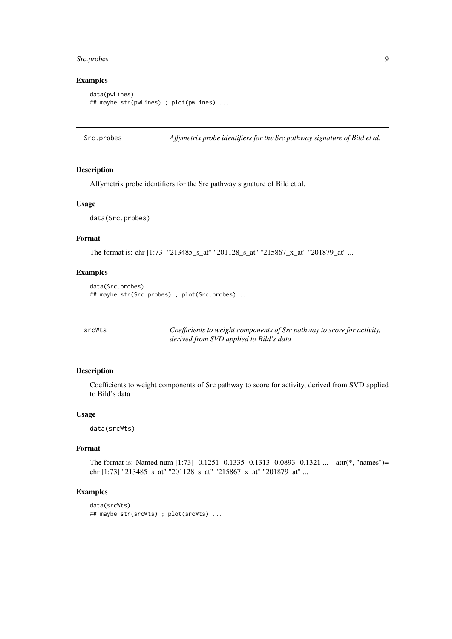#### <span id="page-8-0"></span>Src.probes 9

#### Examples

```
data(pwLines)
## maybe str(pwLines) ; plot(pwLines) ...
```
Src.probes *Affymetrix probe identifiers for the Src pathway signature of Bild et al.*

#### Description

Affymetrix probe identifiers for the Src pathway signature of Bild et al.

#### Usage

data(Src.probes)

#### Format

The format is: chr [1:73] "213485\_s\_at" "201128\_s\_at" "215867\_x\_at" "201879\_at" ...

#### Examples

```
data(Src.probes)
## maybe str(Src.probes) ; plot(Src.probes) ...
```
srcWts *Coefficients to weight components of Src pathway to score for activity, derived from SVD applied to Bild's data*

#### Description

Coefficients to weight components of Src pathway to score for activity, derived from SVD applied to Bild's data

#### Usage

data(srcWts)

#### Format

The format is: Named num [1:73] -0.1251 -0.1335 -0.1313 -0.0893 -0.1321 ... - attr(\*, "names")= chr [1:73] "213485\_s\_at" "201128\_s\_at" "215867\_x\_at" "201879\_at" ...

#### Examples

```
data(srcWts)
## maybe str(srcWts) ; plot(srcWts) ...
```